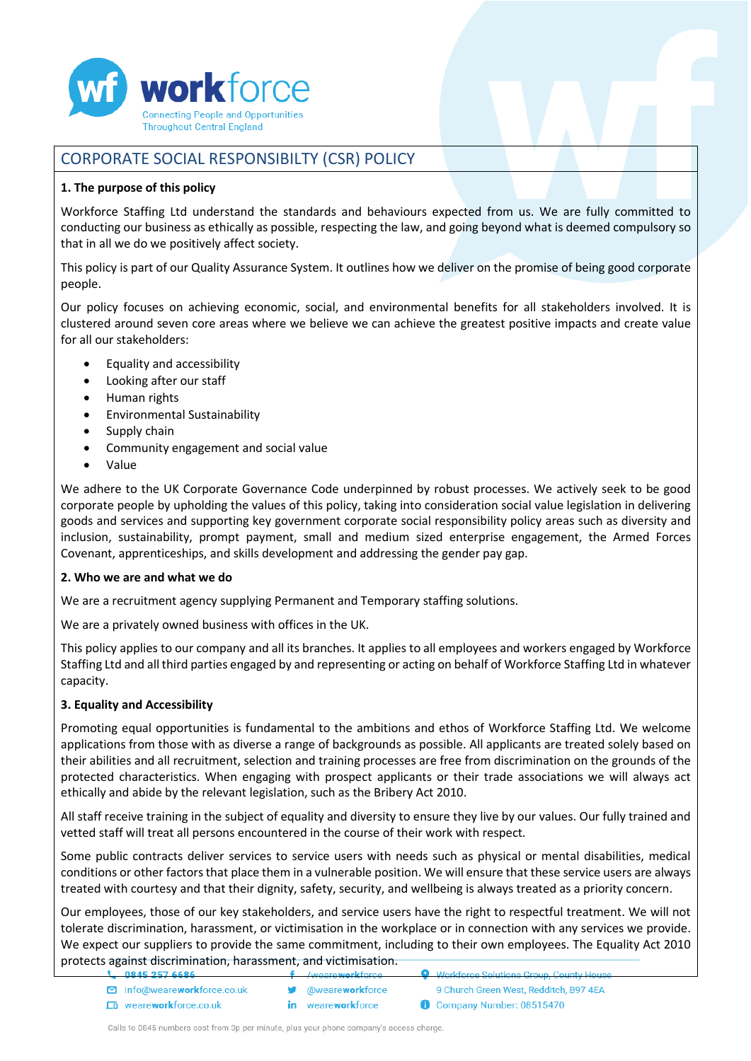

# CORPORATE SOCIAL RESPONSIBILTY (CSR) POLICY

## **1. The purpose of this policy**

Workforce Staffing Ltd understand the standards and behaviours expected from us. We are fully committed to conducting our business as ethically as possible, respecting the law, and going beyond what is deemed compulsory so that in all we do we positively affect society.

This policy is part of our Quality Assurance System. It outlines how we deliver on the promise of being good corporate people.

Our policy focuses on achieving economic, social, and environmental benefits for all stakeholders involved. It is clustered around seven core areas where we believe we can achieve the greatest positive impacts and create value for all our stakeholders:

- Equality and accessibility
- Looking after our staff
- Human rights
- Environmental Sustainability
- Supply chain
- Community engagement and social value
- Value

We adhere to the UK Corporate Governance Code underpinned by robust processes. We actively seek to be good corporate people by upholding the values of this policy, taking into consideration social value legislation in delivering goods and services and supporting key government corporate social responsibility policy areas such as diversity and inclusion, sustainability, prompt payment, small and medium sized enterprise engagement, the Armed Forces Covenant, apprenticeships, and skills development and addressing the gender pay gap.

## **2. Who we are and what we do**

We are a recruitment agency supplying Permanent and Temporary staffing solutions.

We are a privately owned business with offices in the UK.

This policy applies to our company and all its branches. It applies to all employees and workers engaged by Workforce Staffing Ltd and all third parties engaged by and representing or acting on behalf of Workforce Staffing Ltd in whatever capacity.

# **3. Equality and Accessibility**

Promoting equal opportunities is fundamental to the ambitions and ethos of Workforce Staffing Ltd. We welcome applications from those with as diverse a range of backgrounds as possible. All applicants are treated solely based on their abilities and all recruitment, selection and training processes are free from discrimination on the grounds of the protected characteristics. When engaging with prospect applicants or their trade associations we will always act ethically and abide by the relevant legislation, such as the Bribery Act 2010.

All staff receive training in the subject of equality and diversity to ensure they live by our values. Our fully trained and vetted staff will treat all persons encountered in the course of their work with respect.

Some public contracts deliver services to service users with needs such as physical or mental disabilities, medical conditions or other factors that place them in a vulnerable position. We will ensure that these service users are always treated with courtesy and that their dignity, safety, security, and wellbeing is always treated as a priority concern.

Our employees, those of our key stakeholders, and service users have the right to respectful treatment. We will not tolerate discrimination, harassment, or victimisation in the workplace or in connection with any services we provide. We expect our suppliers to provide the same commitment, including to their own employees. The Equality Act 2010 protects against discrimination, harassment, and victimisation.

|                                | $\mathbf{r} = \mathbf{r}$ , and such mathematic contracts | work to be southous tarning to think each va |
|--------------------------------|-----------------------------------------------------------|----------------------------------------------|
| □ info@weareworkforce.co.uk    | <b>W</b> @weare <b>work</b> force                         | 9 Church Green West, Redditch, B97 4EA       |
| <b>En</b> weareworkforce.co.uk | <b>in</b> weareworkforce                                  | Company Number: 08515470                     |

Calls to 0845 numbers cost from 3p per minute, plus your phone company's access charge.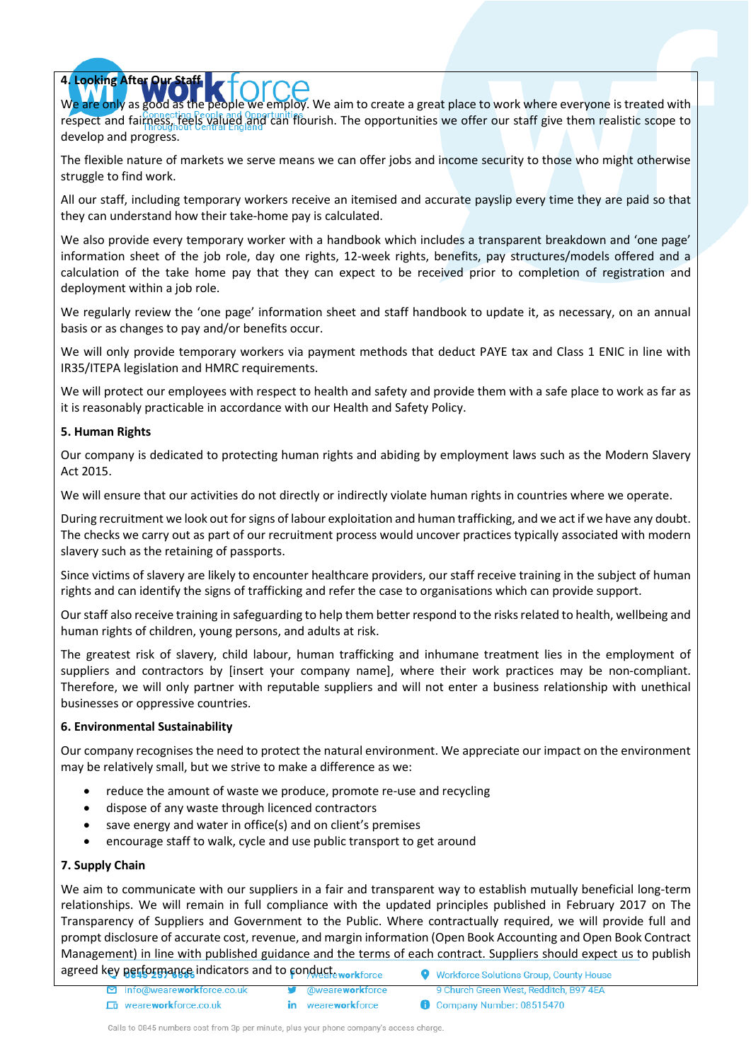# **4. Looking After Our Staff**

We are only as good as the people we employ. We aim to create a great place to work where everyone is treated with respect and fairness, feels valued and can flourish. The opportunities we offer our staff give them realistic scope to develop and progress.

The flexible nature of markets we serve means we can offer jobs and income security to those who might otherwise struggle to find work.

All our staff, including temporary workers receive an itemised and accurate payslip every time they are paid so that they can understand how their take-home pay is calculated.

We also provide every temporary worker with a handbook which includes a transparent breakdown and 'one page' information sheet of the job role, day one rights, 12-week rights, benefits, pay structures/models offered and a calculation of the take home pay that they can expect to be received prior to completion of registration and deployment within a job role.

We regularly review the 'one page' information sheet and staff handbook to update it, as necessary, on an annual basis or as changes to pay and/or benefits occur.

We will only provide temporary workers via payment methods that deduct PAYE tax and Class 1 ENIC in line with IR35/ITEPA legislation and HMRC requirements.

We will protect our employees with respect to health and safety and provide them with a safe place to work as far as it is reasonably practicable in accordance with our Health and Safety Policy.

#### **5. Human Rights**

Our company is dedicated to protecting human rights and abiding by employment laws such as the Modern Slavery Act 2015.

We will ensure that our activities do not directly or indirectly violate human rights in countries where we operate.

During recruitment we look out for signs of labour exploitation and human trafficking, and we act if we have any doubt. The checks we carry out as part of our recruitment process would uncover practices typically associated with modern slavery such as the retaining of passports.

Since victims of slavery are likely to encounter healthcare providers, our staff receive training in the subject of human rights and can identify the signs of trafficking and refer the case to organisations which can provide support.

Our staff also receive training in safeguarding to help them better respond to the risks related to health, wellbeing and human rights of children, young persons, and adults at risk.

The greatest risk of slavery, child labour, human trafficking and inhumane treatment lies in the employment of suppliers and contractors by [insert your company name], where their work practices may be non-compliant. Therefore, we will only partner with reputable suppliers and will not enter a business relationship with unethical businesses or oppressive countries.

## **6. Environmental Sustainability**

Our company recognises the need to protect the natural environment. We appreciate our impact on the environment may be relatively small, but we strive to make a difference as we:

- reduce the amount of waste we produce, promote re-use and recycling
- dispose of any waste through licenced contractors
- save energy and water in office(s) and on client's premises
- encourage staff to walk, cycle and use public transport to get around

#### **7. Supply Chain**

We aim to communicate with our suppliers in a fair and transparent way to establish mutually beneficial long-term relationships. We will remain in full compliance with the updated principles published in February 2017 on The Transparency of Suppliers and Government to the Public. Where contractually required, we will provide full and prompt disclosure of accurate cost, revenue, and margin information (Open Book Accounting and Open Book Contract Management) in line with published guidance and the terms of each contract. Suppliers should expect us to publish agreed key performance indicators and to conducte workforce **Workforce Solutions Group, County House** 

info@weareworkforce.co.uk @weareworkforce 9 Church Green West, Redditch, B97 4EA Ln weareworkforce.co.uk in weareworkforce Company Number: 08515470